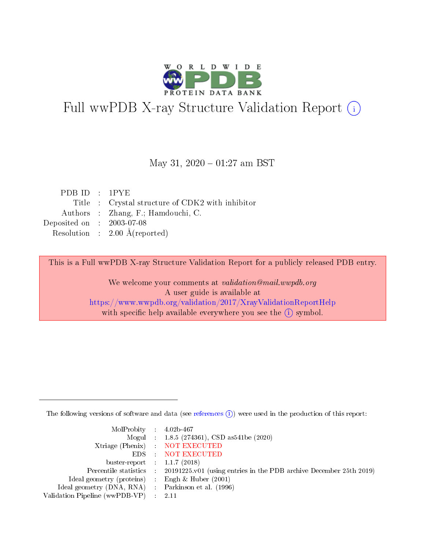

# Full wwPDB X-ray Structure Validation Report (i)

#### May 31,  $2020 - 01:27$  am BST

| PDBID : 1PYE                |                                                  |
|-----------------------------|--------------------------------------------------|
|                             | Title : Crystal structure of CDK2 with inhibitor |
|                             | Authors : Zhang, F.; Hamdouchi, C.               |
| Deposited on : $2003-07-08$ |                                                  |
|                             | Resolution : $2.00 \text{ Å}$ (reported)         |

This is a Full wwPDB X-ray Structure Validation Report for a publicly released PDB entry.

We welcome your comments at validation@mail.wwpdb.org A user guide is available at <https://www.wwpdb.org/validation/2017/XrayValidationReportHelp> with specific help available everywhere you see the  $(i)$  symbol.

The following versions of software and data (see [references](https://www.wwpdb.org/validation/2017/XrayValidationReportHelp#references)  $(i)$ ) were used in the production of this report:

| MolProbity : $4.02b-467$                            |                                                                                            |
|-----------------------------------------------------|--------------------------------------------------------------------------------------------|
|                                                     | Mogul : $1.8.5$ (274361), CSD as 541be (2020)                                              |
|                                                     | Xtriage (Phenix) NOT EXECUTED                                                              |
|                                                     | EDS : NOT EXECUTED                                                                         |
| buster-report : $1.1.7(2018)$                       |                                                                                            |
|                                                     | Percentile statistics : 20191225.v01 (using entries in the PDB archive December 25th 2019) |
| Ideal geometry (proteins) : Engh $\&$ Huber (2001)  |                                                                                            |
| Ideal geometry (DNA, RNA) : Parkinson et al. (1996) |                                                                                            |
| Validation Pipeline (wwPDB-VP) : 2.11               |                                                                                            |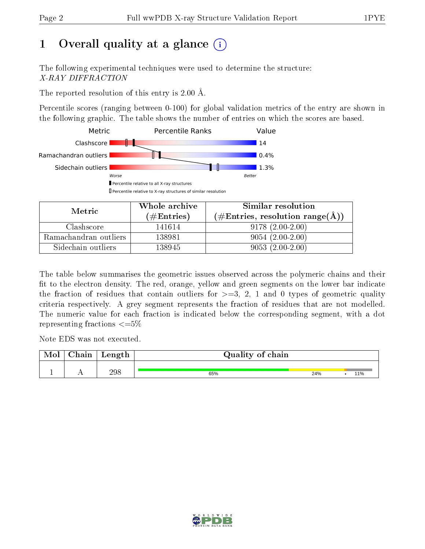# 1 [O](https://www.wwpdb.org/validation/2017/XrayValidationReportHelp#overall_quality)verall quality at a glance  $(i)$

The following experimental techniques were used to determine the structure: X-RAY DIFFRACTION

The reported resolution of this entry is 2.00 Å.

Percentile scores (ranging between 0-100) for global validation metrics of the entry are shown in the following graphic. The table shows the number of entries on which the scores are based.



| Metric                | Whole archive<br>$(\#\text{Entries})$ | Similar resolution<br>$(\#\text{Entries}, \text{resolution range}(\text{\AA})\)$ |
|-----------------------|---------------------------------------|----------------------------------------------------------------------------------|
| Clashscore            | 141614                                | $9178(2.00-2.00)$                                                                |
| Ramachandran outliers | 138981                                | $9054(2.00-2.00)$                                                                |
| Sidechain outliers    | 138945                                | $9053(2.00-2.00)$                                                                |

The table below summarises the geometric issues observed across the polymeric chains and their fit to the electron density. The red, orange, yellow and green segments on the lower bar indicate the fraction of residues that contain outliers for  $\geq=3$ , 2, 1 and 0 types of geometric quality criteria respectively. A grey segment represents the fraction of residues that are not modelled. The numeric value for each fraction is indicated below the corresponding segment, with a dot representing fractions  $\leq=5\%$ 

Note EDS was not executed.

| Mol | Chain | Length | Quality of chain |     |     |
|-----|-------|--------|------------------|-----|-----|
|     |       | 298    | 65%              | 24% | 11% |

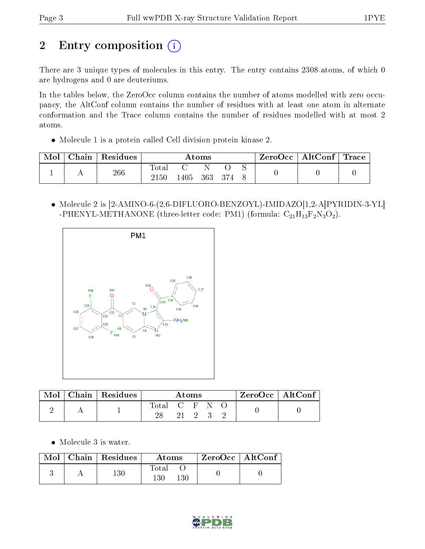# 2 Entry composition (i)

There are 3 unique types of molecules in this entry. The entry contains 2308 atoms, of which 0 are hydrogens and 0 are deuteriums.

In the tables below, the ZeroOcc column contains the number of atoms modelled with zero occupancy, the AltConf column contains the number of residues with at least one atom in alternate conformation and the Trace column contains the number of residues modelled with at most 2 atoms.

Molecule 1 is a protein called Cell division protein kinase 2.

| Mol | $\text{Chain}$ | Residues | Atoms         |      |     | $\text{ZeroOcc} \mid \text{AltConf} \mid \text{Trace}$ |  |  |  |
|-----|----------------|----------|---------------|------|-----|--------------------------------------------------------|--|--|--|
|     |                | 266      | Total<br>2150 | .405 | 363 | 374                                                    |  |  |  |

 Molecule 2 is [2-AMINO-6-(2,6-DIFLUORO-BENZOYL)-IMIDAZO[1,2-A]PYRIDIN-3-YL] -PHENYL-METHANONE (three-letter code: PM1) (formula:  $C_{21}H_{13}F_2N_3O_2$ ).



| Mol | $\vert$ Chain $\vert$ Residues | Atoms         |  |        |  | ZeroOcc   AltConf |  |  |
|-----|--------------------------------|---------------|--|--------|--|-------------------|--|--|
|     |                                | Total C F N O |  |        |  |                   |  |  |
|     |                                |               |  | 21 2 3 |  |                   |  |  |

Molecule 3 is water.

|  | $\text{Mol}$   Chain   Residues | Atoms                    | $ZeroOcc \   \ AltConf$ |  |
|--|---------------------------------|--------------------------|-------------------------|--|
|  | $^{130}$                        | Fotal<br>$^{130}$<br>130 |                         |  |

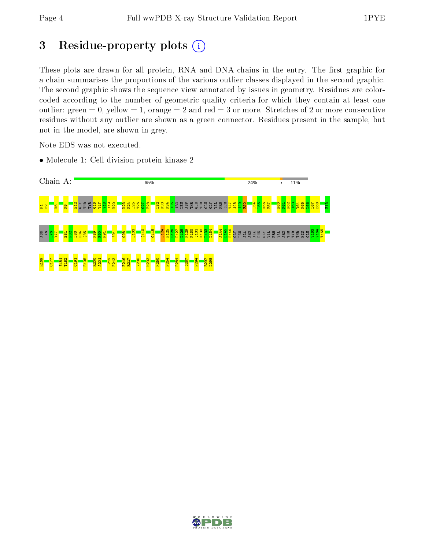## 3 Residue-property plots  $(i)$

These plots are drawn for all protein, RNA and DNA chains in the entry. The first graphic for a chain summarises the proportions of the various outlier classes displayed in the second graphic. The second graphic shows the sequence view annotated by issues in geometry. Residues are colorcoded according to the number of geometric quality criteria for which they contain at least one outlier: green  $= 0$ , yellow  $= 1$ , orange  $= 2$  and red  $= 3$  or more. Stretches of 2 or more consecutive residues without any outlier are shown as a green connector. Residues present in the sample, but not in the model, are shown in grey.

Note EDS was not executed.

• Molecule 1: Cell division protein kinase 2



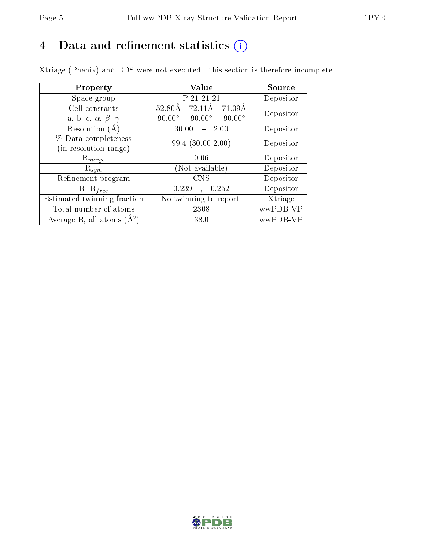# 4 Data and refinement statistics  $(i)$

Xtriage (Phenix) and EDS were not executed - this section is therefore incomplete.

| Property                               | Value                                           | Source    |  |
|----------------------------------------|-------------------------------------------------|-----------|--|
| Space group                            | P 21 21 21                                      | Depositor |  |
| Cell constants                         | 71.09Å<br>$52.80\text{\AA}$<br>72.11Å           | Depositor |  |
| a, b, c, $\alpha$ , $\beta$ , $\gamma$ | $90.00^\circ$<br>$90.00^\circ$<br>$90.00^\circ$ |           |  |
| Resolution $(A)$                       | 30.00<br>$-2.00$                                | Depositor |  |
| % Data completeness                    | $99.4(30.00-2.00)$                              | Depositor |  |
| (in resolution range)                  |                                                 |           |  |
| $\mathrm{R}_{merge}$                   | 0.06                                            | Depositor |  |
| $\mathrm{R}_{sym}$                     | (Not available)                                 | Depositor |  |
| Refinement program                     | <b>CNS</b>                                      | Depositor |  |
| $R, R_{free}$                          | 0.252<br>0.239<br>$\ddot{\phantom{a}}$          | Depositor |  |
| Estimated twinning fraction            | No twinning to report.                          | Xtriage   |  |
| Total number of atoms                  | 2308                                            | wwPDB-VP  |  |
| Average B, all atoms $(A^2)$           | 38.0                                            | wwPDB-VP  |  |

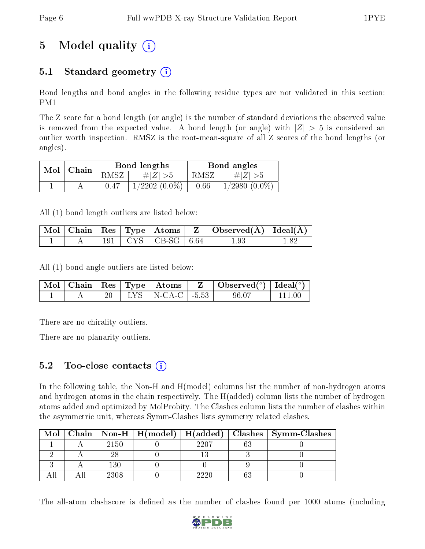# 5 Model quality  $(i)$

## 5.1 Standard geometry  $(i)$

Bond lengths and bond angles in the following residue types are not validated in this section: PM1

The Z score for a bond length (or angle) is the number of standard deviations the observed value is removed from the expected value. A bond length (or angle) with  $|Z| > 5$  is considered an outlier worth inspection. RMSZ is the root-mean-square of all Z scores of the bond lengths (or angles).

| Mol | Chain |      | Bond lengths       |      | Bond angles     |
|-----|-------|------|--------------------|------|-----------------|
|     |       | RMSZ | $\# Z  > 5$        | RMSZ | # $ Z  > 5$     |
|     |       |      | $1/2202$ $(0.0\%)$ | 0.66 | $1/2980(0.0\%)$ |

All (1) bond length outliers are listed below:

|  |  |                            | $\mid$ Mol $\mid$ Chain $\mid$ Res $\mid$ Type $\mid$ Atoms $\mid$ Z $\mid$ Observed(A) $\mid$ Ideal(A) $\mid$ |  |
|--|--|----------------------------|----------------------------------------------------------------------------------------------------------------|--|
|  |  | $191$   CYS   CB-SG   6.64 | $1.93\,$                                                                                                       |  |

All (1) bond angle outliers are listed below:

|  |  |                                                                  | $\mid$ Mol $\mid$ Chain $\mid$ Res $\mid$ Type $\mid$ Atoms $\mid$ Z $\mid$ Observed( <sup>o</sup> ) $\mid$ Ideal( <sup>o</sup> ) |          |
|--|--|------------------------------------------------------------------|-----------------------------------------------------------------------------------------------------------------------------------|----------|
|  |  | $\parallel$ LYS $\parallel$ N-CA-C $\parallel$ -5.53 $\parallel$ | -96.07                                                                                                                            | - 111 00 |

There are no chirality outliers.

There are no planarity outliers.

#### $5.2$  Too-close contacts  $(i)$

In the following table, the Non-H and H(model) columns list the number of non-hydrogen atoms and hydrogen atoms in the chain respectively. The H(added) column lists the number of hydrogen atoms added and optimized by MolProbity. The Clashes column lists the number of clashes within the asymmetric unit, whereas Symm-Clashes lists symmetry related clashes.

| Mol |      |      | Chain   Non-H   H(model)   H(added)   Clashes   Symm-Clashes |
|-----|------|------|--------------------------------------------------------------|
|     | 2150 | 2207 |                                                              |
|     |      |      |                                                              |
|     | 130  |      |                                                              |
|     | 2308 | າາາ  |                                                              |

The all-atom clashscore is defined as the number of clashes found per 1000 atoms (including

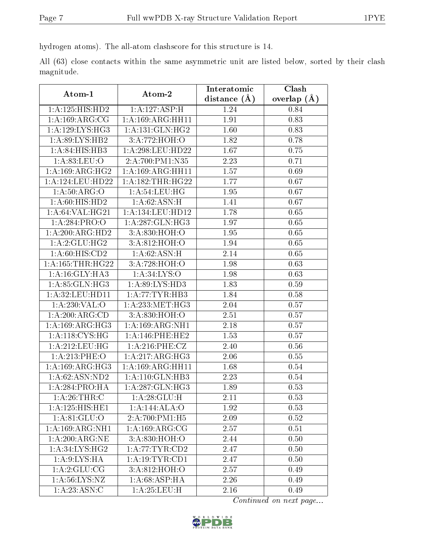hydrogen atoms). The all-atom clashscore for this structure is 14.

All (63) close contacts within the same asymmetric unit are listed below, sorted by their clash magnitude.

| Atom-1                          | Atom-2                      | Interatomic      | Clash         |  |
|---------------------------------|-----------------------------|------------------|---------------|--|
|                                 |                             | distance $(\AA)$ | overlap $(A)$ |  |
| $1: A: 125: HI\overline{S:HD2}$ | 1:A:127:ASP:H               | 1.24             | 0.84          |  |
| 1: A: 169: ARG: CG              | 1: A: 169: ARG: HH11        | 1.91             | 0.83          |  |
| 1:A:129:LYS:HG3                 | 1: A: 131: GLN: HG2         | 1.60             | 0.83          |  |
| 1: A:89: LYS: HB2               | 3:A:772:HOH:O               | 1.82             | 0.78          |  |
| $1:A:84:HIS:H\overline{B3}$     | 1: A:298:LEU:HD22           | 1.67             | 0.75          |  |
| 1: A:83:LEU:O                   | 2:A:700:P M1:N35            | 2.23             | 0.71          |  |
| 1: A: 169: ARG: HG2             | 1: A: 169: ARG: HH11        | 1.57             | 0.69          |  |
| 1:A:124:LEU:HD22                | 1: A: 182: THR: HG22        | 1.77             | 0.67          |  |
| 1: A:50: ARG:O                  | 1: A:54:LEU:HG              | 1.95             | 0.67          |  |
| 1: A:60: HIS: HD2               | 1: A:62: ASN:H              | 1.41             | 0.67          |  |
| 1: A:64: VAL:HG21               | 1:A:134:LEU:HD12            | 1.78             | 0.65          |  |
| 1:A:284:PRO:O                   | 1:A:287:GLN:HG3             | 1.97             | 0.65          |  |
| 1:A:200:ARG:HD2                 | 3:A:830:HOH:O               | 1.95             | 0.65          |  |
| 1:A:2:GLU:HG2                   | 3:A:812:HOH:O               | 1.94             | 0.65          |  |
| 1:A:60:HIS:CD2                  | 1: A:62: ASN:H              | 2.14             | 0.65          |  |
| 1: A: 165: THR: HG22            | 3:A:728:HOH:O               | 1.98             | 0.63          |  |
| 1:A:16:GLY:HA3                  | 1: A:34: LYS:O              | 1.98             | 0.63          |  |
| 1: A.85: GLN: HG3               | 1:A:89:LYS:HD3              | 1.83             | 0.59          |  |
| 1: A:32: LEU: HD11              | 1:A:77:TYR:HB3              | 1.84             | 0.58          |  |
| 1: A:230: VAL:O                 | 1: A: 233: MET:H G3         | 2.04             | 0.57          |  |
| 1:A:200:ARG:CD                  | 3:A:830:HOH:O               | 2.51             | 0.57          |  |
| 1: A: 169: ARG: HG3             | 1: A: 169: ARG: NH1         | 2.18             | 0.57          |  |
| 1: A:118: CYS:HG                | $1: A:146:$ PHE:HE2         | 1.53             | 0.57          |  |
| 1:A:212:LEU:HG                  | 1: A:216: PHE: CZ           | 2.40             | 0.56          |  |
| 1:A:213:PHE:O                   | 1:A:217:ARG:HG3             | 2.06             | 0.55          |  |
| 1:A:169:ARG:HG3                 | 1: A: 169: ARG: HH11        | 1.68             | 0.54          |  |
| 1: A:62: ASN:ND2                | 1:A:110:GLN:HB3             | 2.23             | 0.54          |  |
| 1:A:284:PRO:HA                  | 1:A:287:GLN:HG3             | 1.89             | 0.53          |  |
| 1: A:26:THR:C                   | 1:A:28:GLU:H                | 2.11             | 0.53          |  |
| 1:A:125:HIS:HE1                 | 1:A:144:ALA:O               | 1.92             | 0.53          |  |
| 1: A:81: GLU:O                  | $2:A:700:P\overline{M1:H5}$ | 2.09             | 0.52          |  |
| 1:A:169:ARG:NH1                 | 1: A: 169: ARG: CG          | 2.57             | 0.51          |  |
| 1: A:200:ARG:NE                 | 3: A:830:HOH:O              | 2.44             | 0.50          |  |
| 1:A:34:LYS:HG2                  | 1: A:77:TYR:CD2             | 2.47             | 0.50          |  |
| 1: A:9: LYS: HA                 | 1: A: 19: TYR: CD1          | 2.47             | 0.50          |  |
| 1: A:2: GLU: CG                 | 3:A:812:HOH:O               | 2.57             | 0.49          |  |
| 1: A:56: LYS: NZ                | 1:A:68:ASP:HA               | 2.26             | 0.49          |  |
| 1: A: 23: ASN:C                 | 1: A:25:LEU:H               | 2.16             | 0.49          |  |

Continued on next page...

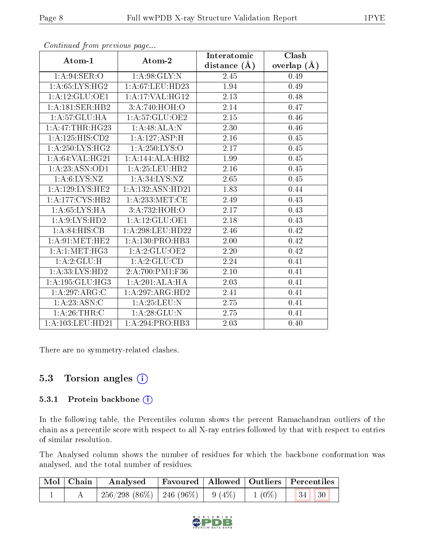| Atom-1                    | Atom-2                     | Interatomic    | Clash         |
|---------------------------|----------------------------|----------------|---------------|
|                           |                            | distance $(A)$ | overlap $(A)$ |
| 1: A:94:SER:O             | 1: A:98: GLY:N             | 2.45           | 0.49          |
| 1: A:65: LYS: HG2         | 1:A:67:LEU:HD23            | 1.94           | 0.49          |
| 1: A:12: GLU:OE1          | 1: A:17: VAL:HG12          | 2.13           | 0.48          |
| 1:A:181:SER:HB2           | 3:A:740:HOH:O              | 2.14           | 0.47          |
| 1: A:57: GLU:HA           | 1:A:57:GLU:OE2             | 2.15           | 0.46          |
| 1:A:47:THR:HG23           | 1:A:48:ALA:N               | 2.30           | 0.46          |
| 1:A:125:HIS:CD2           | $1:A:127.\overline{ASP:H}$ | 2.16           | 0.45          |
| 1: A:250: LYS: HG2        | 1: A:250: LYS:O            | 2.17           | 0.45          |
| 1:A:64:VAL:HG21           | 1:A:144:ALA:HB2            | 1.99           | 0.45          |
| 1:A:23:ASN:OD1            | 1: A:25:LEU:HB2            | 2.16           | 0.45          |
| 1: A:6: LYS: NZ           | 1: A:34:LYS:NZ             | 2.65           | 0.45          |
| 1: A: 129: LYS: HE2       | 1:A:132:ASN:HD21           | 1.83           | 0.44          |
| 1: A:177: CYS:HB2         | 1: A:233:MET:CE            | 2.49           | 0.43          |
| 1: A:65:LYS:HA            | 3:A:732:HOH:O              | 2.17           | 0.43          |
| 1: A: 9: LYS: HD2         | 1: A:12: GLU:OE1           | 2.18           | 0.43          |
| 1: A:84: HIS: CB          | 1: A:298:LEU:HD22          | 2.46           | 0.42          |
| 1: A:91:MET:HE2           | 1: A: 130: PRO: HB3        | 2.00           | 0.42          |
| 1: A:1: MET:HG3           | 1:A:2:GLU:OE2              | 2.20           | 0.42          |
| 1:A:2:GLU:H               | 1:A:2:GLU:CD               | 2.24           | 0.41          |
| 1: A: 33: LYS: HD2        | 2:A:700:PM1:F36            | 2.10           | 0.41          |
| 1:A:195:GLU:HG3           | 1:A:201:ALA:HA             | 2.03           | 0.41          |
| 1:A:297:ARG:C             | 1:A:297:ARG:HD2            | 2.41           | 0.41          |
| $1:A:23:ASN.\overline{C}$ | 1: A:25:LEU:N              | 2.75           | 0.41          |
| 1:A:26:THR:C              | 1:A:28:GLU:N               | 2.75           | 0.41          |
| 1:A:103:LEU:HD21          | 1:A:294:PRO:HB3            | 2.03           | 0.40          |

Continued from previous page...

There are no symmetry-related clashes.

### 5.3 Torsion angles  $(i)$

#### 5.3.1 Protein backbone (i)

In the following table, the Percentiles column shows the percent Ramachandran outliers of the chain as a percentile score with respect to all X-ray entries followed by that with respect to entries of similar resolution.

The Analysed column shows the number of residues for which the backbone conformation was analysed, and the total number of residues.

|  | Mol   Chain   Analysed   Favoured   Allowed   Outliers   Percentiles |  |  |
|--|----------------------------------------------------------------------|--|--|
|  | $256/298(86\%)$ $246(96\%)$ $9(4\%)$ $1(0\%)$ $34$ 30                |  |  |

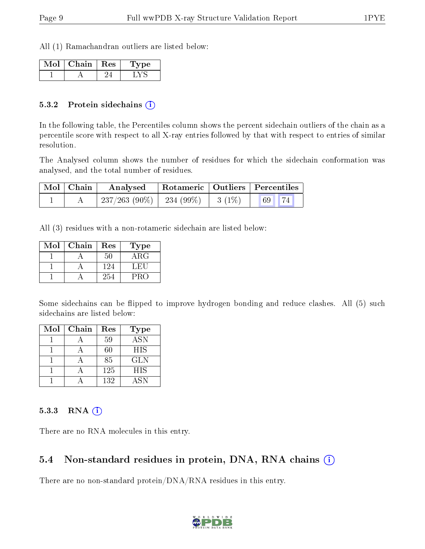All (1) Ramachandran outliers are listed below:

| ∨lol⊹ | Chain   Res | vpe |
|-------|-------------|-----|
|       |             |     |

#### 5.3.2 Protein sidechains (i)

In the following table, the Percentiles column shows the percent sidechain outliers of the chain as a percentile score with respect to all X-ray entries followed by that with respect to entries of similar resolution.

The Analysed column shows the number of residues for which the sidechain conformation was analysed, and the total number of residues.

| $\mid$ Mol $\mid$ Chain | Analysed                                | Rotameric   Outliers   Percentiles |  |       |  |
|-------------------------|-----------------------------------------|------------------------------------|--|-------|--|
|                         | $237/263$ (90\%)   234 (99\%)   3 (1\%) |                                    |  | 69 74 |  |

All (3) residues with a non-rotameric sidechain are listed below:

| Mol | Chain | Res | Type       |
|-----|-------|-----|------------|
|     |       | 50  | $\rm{ARG}$ |
|     |       | 124 | L.HU.      |
|     |       | 254 | PRO        |

Some sidechains can be flipped to improve hydrogen bonding and reduce clashes. All (5) such sidechains are listed below:

| Mol | Chain | Res | <b>Type</b> |
|-----|-------|-----|-------------|
|     |       | 59  | <b>ASN</b>  |
|     |       | 60  | <b>HIS</b>  |
|     |       | 85  | <b>GLN</b>  |
|     |       | 125 | <b>HIS</b>  |
|     |       | 132 | ASN         |

#### 5.3.3 RNA [O](https://www.wwpdb.org/validation/2017/XrayValidationReportHelp#rna)i

There are no RNA molecules in this entry.

### 5.4 Non-standard residues in protein, DNA, RNA chains (i)

There are no non-standard protein/DNA/RNA residues in this entry.

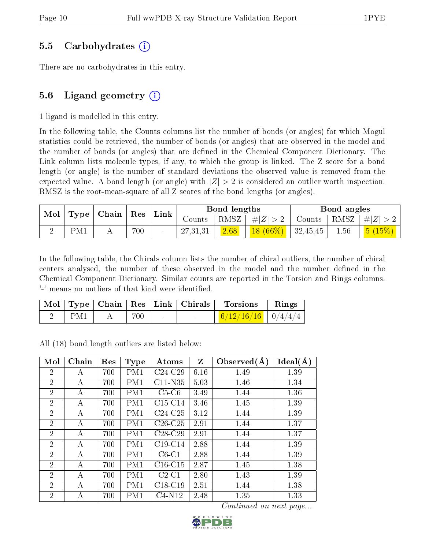#### 5.5 Carbohydrates (i)

There are no carbohydrates in this entry.

### 5.6 Ligand geometry  $(i)$

1 ligand is modelled in this entry.

In the following table, the Counts columns list the number of bonds (or angles) for which Mogul statistics could be retrieved, the number of bonds (or angles) that are observed in the model and the number of bonds (or angles) that are defined in the Chemical Component Dictionary. The Link column lists molecule types, if any, to which the group is linked. The Z score for a bond length (or angle) is the number of standard deviations the observed value is removed from the expected value. A bond length (or angle) with  $|Z| > 2$  is considered an outlier worth inspection. RMSZ is the root-mean-square of all Z scores of the bond lengths (or angles).

| Mol | Type   Chain | ${\rm Res}$ |          |          | Bond lengths |                 |                       | Bond angles |                                                                      |
|-----|--------------|-------------|----------|----------|--------------|-----------------|-----------------------|-------------|----------------------------------------------------------------------|
|     |              |             | $ $ Link | Counts-  |              | RMSZ $ #Z  > 2$ | Counts   RMSZ $\vert$ |             | #Z  > 2                                                              |
|     | PM1          | 700         | $\sim$   | 27,31,31 | 2.68         | $18(66\%)$      | 32,45,45              | 1.56        | $\begin{array}{ c c c }\hline \text{5 (15\%)}& \ \hline \end{array}$ |

In the following table, the Chirals column lists the number of chiral outliers, the number of chiral centers analysed, the number of these observed in the model and the number defined in the Chemical Component Dictionary. Similar counts are reported in the Torsion and Rings columns. '-' means no outliers of that kind were identified.

|     |     |                          | Mol   Type   Chain   Res   Link   Chirals | Torsions                               | $\mathbf{R}$ ings |
|-----|-----|--------------------------|-------------------------------------------|----------------------------------------|-------------------|
| PM1 | 700 | <b>Contract Contract</b> | $\sim$                                    | $\frac{6}{12}/\frac{16}{16}$   0/4/4/4 |                   |

All (18) bond length outliers are listed below:

| Mol            | Chain | Res | <b>Type</b> | Atoms     | Z    | Observed $(A)$ | Ideal(A) |
|----------------|-------|-----|-------------|-----------|------|----------------|----------|
| $\overline{2}$ | А     | 700 | PM1         | $C24-C29$ | 6.16 | 1.49           | 1.39     |
| $\overline{2}$ | А     | 700 | PM1         | $C11-N35$ | 5.03 | 1.46           | 1.34     |
| $\overline{2}$ | А     | 700 | PM1         | $C5-C6$   | 3.49 | 1.44           | 1.36     |
| $\overline{2}$ | А     | 700 | PM1         | $C15-C14$ | 3.46 | 1.45           | 1.39     |
| $\overline{2}$ | А     | 700 | PM1         | $C24-C25$ | 3.12 | 1.44           | 1.39     |
| $\overline{2}$ | А     | 700 | PM1         | $C26-C25$ | 2.91 | 1.44           | 1.37     |
| $\overline{2}$ | А     | 700 | PM1         | $C28-C29$ | 2.91 | 1.44           | 1.37     |
| $\overline{2}$ | А     | 700 | PM1         | $C19-C14$ | 2.88 | 1.44           | 1.39     |
| $\overline{2}$ | А     | 700 | PM1         | $C6-C1$   | 2.88 | 1.44           | 1.39     |
| $\overline{2}$ | А     | 700 | PM1         | $C16-C15$ | 2.87 | 1.45           | 1.38     |
| $\overline{2}$ | А     | 700 | PM1         | $C2-C1$   | 2.80 | 1.43           | 1.39     |
| $\overline{2}$ | A     | 700 | PM1         | $C18-C19$ | 2.51 | 1.44           | 1.38     |
| 2              | А     | 700 | PM1         | $C4-N12$  | 2.48 | 1.35           | 1.33     |

Continued on next page...

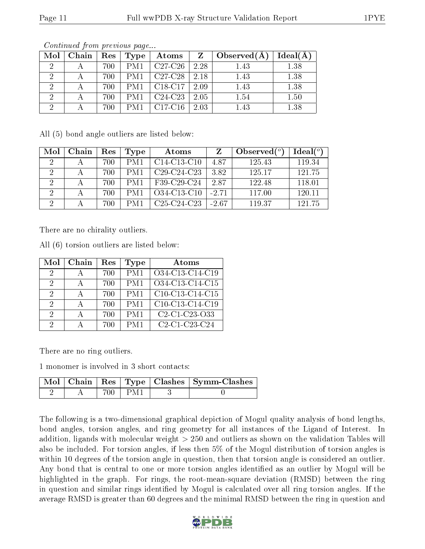| Mol | Chain | $\operatorname{Res}$ | Type | Atoms                                            | $\mathbf{Z}$ | Observed $(A)$ | Ideal(A) |
|-----|-------|----------------------|------|--------------------------------------------------|--------------|----------------|----------|
|     |       | 700                  | PM1  | $\sqrt{C27-C26}$                                 | 2.28         | 1.43           | 1.38     |
|     |       | 700                  | PM1  | $C27-C28$   2.18                                 |              | 1.43           | 1.38     |
|     |       | 700                  | PM1  | $\vert$ C <sub>18</sub> -C <sub>17</sub> $\vert$ | 2.09         | 1.43           | 1.38     |
| ച   |       | 700                  | PM1  | $C24-C23$                                        | 2.05         | 1.54           | 1.50     |
| ച   |       | 700                  | PM1  | $C17-C16$                                        | 2.03         | 1.43           | 1.38     |

Continued from previous page...

All (5) bond angle outliers are listed below:

| Mol            | Chain | Res | Type | Atoms         |         | Observed $(°)$ | Ideal $(°)$ |
|----------------|-------|-----|------|---------------|---------|----------------|-------------|
| $\overline{2}$ |       | 700 | PM1  | $C14-C13-C10$ | 487     | 125.43         | 119.34      |
| $\mathcal{L}$  |       | 700 | PM1  | $C29-C24-C23$ | 3.82    | 125.17         | 121.75      |
| '2             |       | 700 | PM1  | F39-C29-C24   | 2.87    | 122.48         | 118.01      |
| $\cdot$        |       | 700 | PM1  | O34-C13-C10   | $-2.71$ | 117.00         | 120.11      |
|                |       | 700 | PM1  | $C25-C24-C23$ | $-2.67$ | 119.37         | 121.75      |

There are no chirality outliers.

All (6) torsion outliers are listed below:

| Mol           | Chain | $\operatorname{Res}% \left( \mathcal{N}\right) \equiv\operatorname{Res}(\mathcal{N}_{0})\cap\mathcal{N}_{1}$ | Type | Atoms                                                            |
|---------------|-------|--------------------------------------------------------------------------------------------------------------|------|------------------------------------------------------------------|
| $\mathcal{D}$ |       | 700                                                                                                          | PM1  | O34-C13-C14-C19                                                  |
| 2             |       | 700                                                                                                          | PM1  | O34-C13-C14-C15                                                  |
| $\mathcal{D}$ |       | 700                                                                                                          | PM1  | $\overline{C10}$ -C13-C14-C15                                    |
| 2             |       | 700                                                                                                          | PM1  | $C10-C13-C14-C19$                                                |
| 2             |       | 700                                                                                                          | PM1  | C <sub>2</sub> -C <sub>1</sub> -C <sub>23</sub> -O <sub>33</sub> |
| 9             |       | 700                                                                                                          | PM1  | C <sub>2</sub> -C <sub>1</sub> -C <sub>23</sub> -C <sub>24</sub> |

There are no ring outliers.

1 monomer is involved in 3 short contacts:

|  |           | Mol   Chain   Res   Type   Clashes   Symm-Clashes |
|--|-----------|---------------------------------------------------|
|  | 700 L PM1 |                                                   |

The following is a two-dimensional graphical depiction of Mogul quality analysis of bond lengths, bond angles, torsion angles, and ring geometry for all instances of the Ligand of Interest. In addition, ligands with molecular weight > 250 and outliers as shown on the validation Tables will also be included. For torsion angles, if less then 5% of the Mogul distribution of torsion angles is within 10 degrees of the torsion angle in question, then that torsion angle is considered an outlier. Any bond that is central to one or more torsion angles identified as an outlier by Mogul will be highlighted in the graph. For rings, the root-mean-square deviation (RMSD) between the ring in question and similar rings identified by Mogul is calculated over all ring torsion angles. If the average RMSD is greater than 60 degrees and the minimal RMSD between the ring in question and

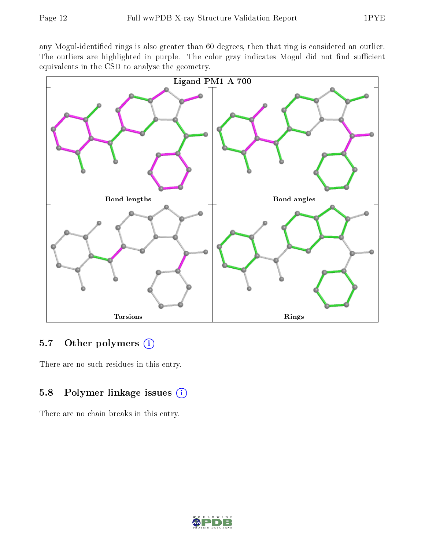any Mogul-identified rings is also greater than 60 degrees, then that ring is considered an outlier. The outliers are highlighted in purple. The color gray indicates Mogul did not find sufficient equivalents in the CSD to analyse the geometry.



### 5.7 [O](https://www.wwpdb.org/validation/2017/XrayValidationReportHelp#nonstandard_residues_and_ligands)ther polymers (i)

There are no such residues in this entry.

## 5.8 Polymer linkage issues (i)

There are no chain breaks in this entry.